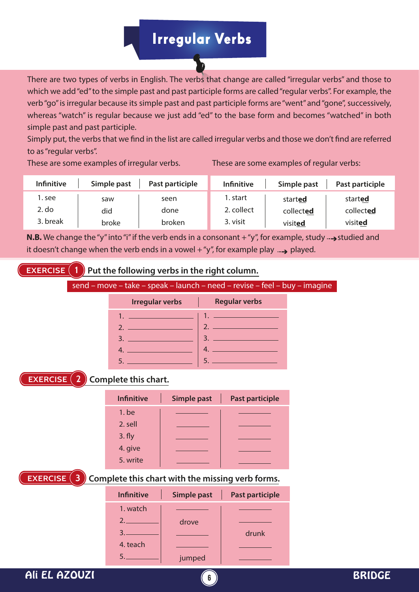## Irregular Verbs

There are two types of verbs in English. The verbs that change are called "irregular verbs" and those to which we add "ed" to the simple past and past participle forms are called "regular verbs". For example, the verb "go" is irregular because its simple past and past participle forms are "went" and "gone", successively, whereas "watch" is regular because we just add "ed" to the base form and becomes "watched" in both simple past and past participle.

Simply put, the verbs that we find in the list are called irregular verbs and those we don't find are referred to as "regular verbs".

These are some examples of irregular verbs. These are some examples of regular verbs:

| <b>Infinitive</b> | Simple past | Past participle | <b>Infinitive</b> | Simple past | Past participle |
|-------------------|-------------|-----------------|-------------------|-------------|-----------------|
| . see             | saw         | seen            | l. start          | started     | started         |
| 2. do             | did         | done            | 2. collect        | collected   | collected       |
| 3. break          | broke       | broken          | 3. visit          | visited     | visited         |

**N.B.** We change the "y" into "i" if the verb ends in a consonant  $+$  "y", for example, study  $\rightarrow$  studied and it doesn't change when the verb ends in a vowel  $+$  "y", for example play  $\rightarrow$  played.

**EXERCISE 1 Put the following verbs in the right column.**

|  | send – move – take – speak – launch – need – revise – feel – buy – imagine |  |  |  |  |  |  |  |  |
|--|----------------------------------------------------------------------------|--|--|--|--|--|--|--|--|
|--|----------------------------------------------------------------------------|--|--|--|--|--|--|--|--|

| <b>Irregular verbs</b><br>and the property                                                                     | <b>Regular verbs</b>                       |
|----------------------------------------------------------------------------------------------------------------|--------------------------------------------|
| a sa kacamatan ing Kabupatèn Kabupatèn Kabupatèn Kabupatèn Kabupatèn Kabupatèn Kabupatèn Kabupatèn Kabupatèn K |                                            |
| <u>2. _________________</u>                                                                                    | $\overline{2}$ .<br><u> Andrew Maria (</u> |
|                                                                                                                | 3.                                         |
|                                                                                                                |                                            |
|                                                                                                                | 5.                                         |

## **EXERCISE 2 Complete this chart.**

| <b>Infinitive</b> | <b>Simple past</b> | <b>Past participle</b> |
|-------------------|--------------------|------------------------|
| $1.$ be           |                    |                        |
| 2. sell           |                    |                        |
| 3. fly            |                    |                        |
| 4. give           |                    |                        |
| 5. write          |                    |                        |
|                   |                    |                        |

**EXERCISE 3 Complete this chart with the missing verb forms.**

| <b>Infinitive</b> | Simple past | <b>Past participle</b> |
|-------------------|-------------|------------------------|
| 1. watch          |             |                        |
| 2.                | drove       |                        |
|                   |             | drunk                  |
| 4. teach          |             |                        |
|                   | jumped      |                        |

Ali EL AZOUZI **6** BRIDGE